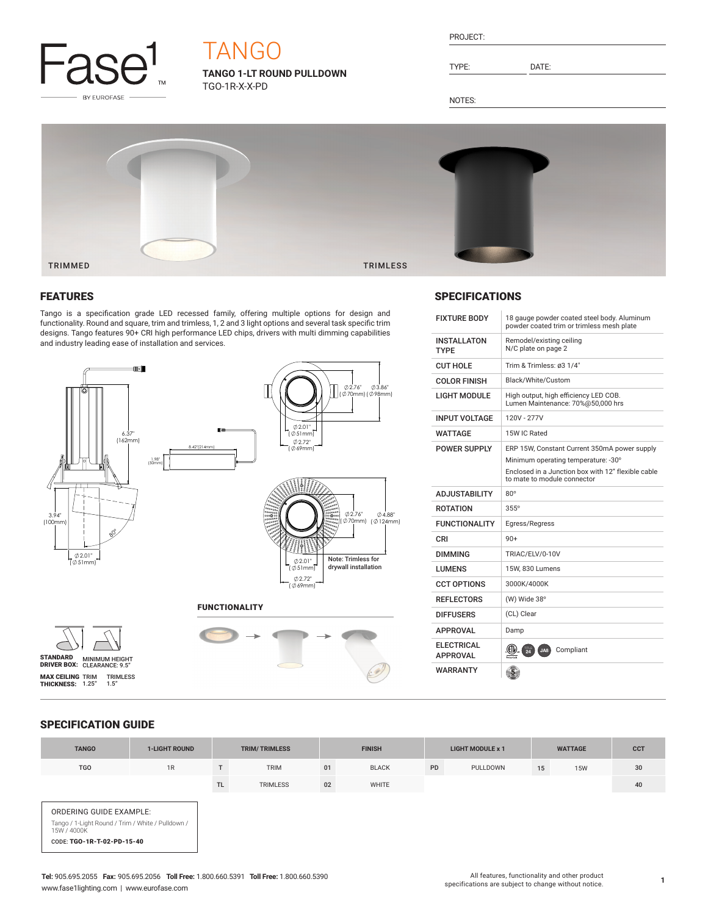

# **TANGO**

**TANGO 1-LT ROUND PULLDOWN** TGO-1R-X-X-PD

| PROJEC |  |
|--------|--|
|        |  |

TYPE: DATE:

NOTES:



## FEATURES

Tango is a specification grade LED recessed family, offering multiple options for design and functionality. Round and square, trim and trimless, 1, 2 and 3 light options and several task specific trim designs. Tango features 90+ CRI high performance LED chips, drivers with multi dimming capabilities and industry leading ease of installation and services.



# **SPECIFICATIONS**

| <b>FIXTURE BODY</b>                  | 18 gauge powder coated steel body. Aluminum<br>powder coated trim or trimless mesh plate                                                                                 |
|--------------------------------------|--------------------------------------------------------------------------------------------------------------------------------------------------------------------------|
| <b>INSTALLATON</b><br><b>TYPE</b>    | Remodel/existing ceiling<br>N/C plate on page 2                                                                                                                          |
| CUT HOLF                             | Trim & Trimless: ø3 1/4"                                                                                                                                                 |
| <b>COLOR FINISH</b>                  | Black/White/Custom                                                                                                                                                       |
| I IGHT MODULE                        | High output, high efficiency LED COB.<br>Lumen Maintenance: 70%@50,000 hrs                                                                                               |
| <b>INPUT VOLTAGE</b>                 | 120V - 277V                                                                                                                                                              |
| <b>WATTAGE</b>                       | 15W IC Rated                                                                                                                                                             |
| <b>POWER SUPPLY</b>                  | ERP 15W, Constant Current 350mA power supply<br>Minimum operating temperature: -30°<br>Enclosed in a Junction box with 12" flexible cable<br>to mate to module connector |
| <b>AD.ILISTABILITY</b>               | $80^\circ$                                                                                                                                                               |
| <b>ROTATION</b>                      | $355^\circ$                                                                                                                                                              |
| <b>FUNCTIONALITY</b>                 | Egress/Regress                                                                                                                                                           |
| CRI                                  | $90+$                                                                                                                                                                    |
| <b>DIMMING</b>                       | TRIAC/ELV/0-10V                                                                                                                                                          |
| LUMENS                               | 15W. 830 Lumens                                                                                                                                                          |
| <b>CCT OPTIONS</b>                   | 3000K/4000K                                                                                                                                                              |
| <b>REFLECTORS</b>                    | (W) Wide 38°                                                                                                                                                             |
| <b>DIFFUSERS</b>                     | (CL) Clear                                                                                                                                                               |
| <b>APPROVAL</b>                      | Damp                                                                                                                                                                     |
| <b>ELECTRICAL</b><br><b>APPROVAL</b> | $\frac{1}{24}$<br>Compliant<br>JA8                                                                                                                                       |
| <b>WARRANTY</b>                      |                                                                                                                                                                          |

## SPECIFICATION GUIDE

| <b>TANGO</b>                                                                                                              | <b>1-LIGHT ROUND</b> |           | <b>TRIM/TRIMLESS</b> |    | <b>FINISH</b> |           | <b>LIGHT MODULE x 1</b> |    | <b>WATTAGE</b> | <b>CCT</b> |
|---------------------------------------------------------------------------------------------------------------------------|----------------------|-----------|----------------------|----|---------------|-----------|-------------------------|----|----------------|------------|
| <b>TGO</b>                                                                                                                | 1R                   |           | <b>TRIM</b>          | 01 | <b>BLACK</b>  | <b>PD</b> | PULLDOWN                | 15 | <b>15W</b>     | 30         |
|                                                                                                                           |                      | <b>TL</b> | <b>TRIMLESS</b>      | 02 | <b>WHITE</b>  |           |                         |    |                | 40         |
| ORDERING GUIDE EXAMPLE:<br>Tango / 1-Light Round / Trim / White / Pulldown /<br>15W / 4000K<br>CODE: TGO-1R-T-02-PD-15-40 |                      |           |                      |    |               |           |                         |    |                |            |